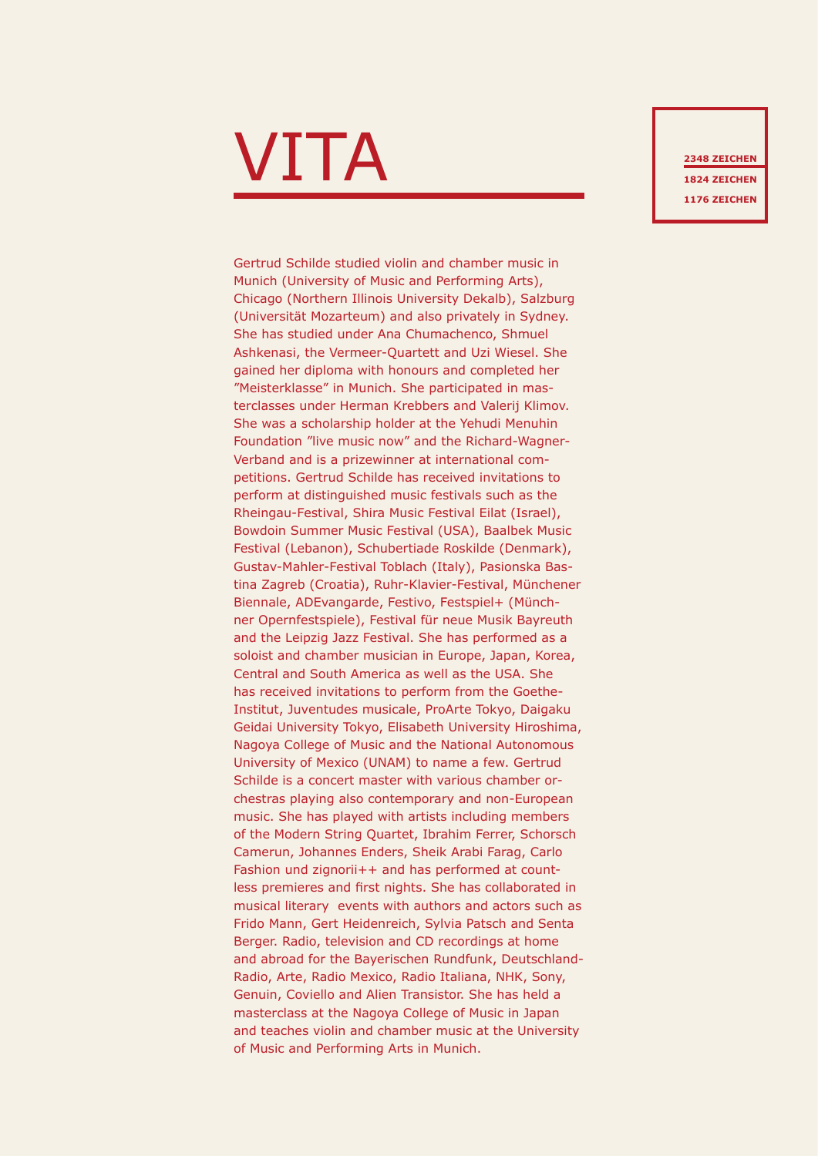## $\mathbf{V}\mathbf{I}\mathbf{T}$  and  $\mathbf{A}$  and  $\mathbf{A}$  and  $\mathbf{A}$  and  $\mathbf{A}$  and  $\mathbf{A}$  and  $\mathbf{A}$  and  $\mathbf{A}$  and  $\mathbf{A}$  and  $\mathbf{A}$  and  $\mathbf{A}$  and  $\mathbf{A}$  and  $\mathbf{A}$  and  $\mathbf{A}$  and  $\mathbf{A}$  and  $\mathbf{A}$  and  $\mathbf$

Gertrud Schilde studied violin and chamber music in Munich (University of Music and Performing Arts), Chicago (Northern Illinois University Dekalb), Salzburg (Universität Mozarteum) and also privately in Sydney. She has studied under Ana Chumachenco, Shmuel Ashkenasi, the Vermeer-Quartett and Uzi Wiesel. She gained her diploma with honours and completed her "Meisterklasse" in Munich. She participated in masterclasses under Herman Krebbers and Valerij Klimov. She was a scholarship holder at the Yehudi Menuhin Foundation "live music now" and the Richard-Wagner-Verband and is a prizewinner at international competitions. Gertrud Schilde has received invitations to perform at distinguished music festivals such as the Rheingau-Festival, Shira Music Festival Eilat (Israel), Bowdoin Summer Music Festival (USA), Baalbek Music Festival (Lebanon), Schubertiade Roskilde (Denmark), Gustav-Mahler-Festival Toblach (Italy), Pasionska Bastina Zagreb (Croatia), Ruhr-Klavier-Festival, Münchener Biennale, ADEvangarde, Festivo, Festspiel+ (Münchner Opernfestspiele), Festival für neue Musik Bayreuth and the Leipzig Jazz Festival. She has performed as a soloist and chamber musician in Europe, Japan, Korea, Central and South America as well as the USA. She has received invitations to perform from the Goethe-Institut, Juventudes musicale, ProArte Tokyo, Daigaku Geidai University Tokyo, Elisabeth University Hiroshima, Nagoya College of Music and the National Autonomous University of Mexico (UNAM) to name a few. Gertrud Schilde is a concert master with various chamber orchestras playing also contemporary and non-European music. She has played with artists including members of the Modern String Quartet, Ibrahim Ferrer, Schorsch Camerun, Johannes Enders, Sheik Arabi Farag, Carlo Fashion und zignorii++ and has performed at countless premieres and first nights. She has collaborated in musical literary events with authors and actors such as Frido Mann, Gert Heidenreich, Sylvia Patsch and Senta Berger. Radio, television and CD recordings at home and abroad for the Bayerischen Rundfunk, Deutschland-Radio, Arte, Radio Mexico, Radio Italiana, NHK, Sony, Genuin, Coviello and Alien Transistor. She has held a masterclass at the Nagoya College of Music in Japan and teaches violin and chamber music at the University of Music and Performing Arts in Munich.

**1824 ZEICHEN 1176 ZEICHEN**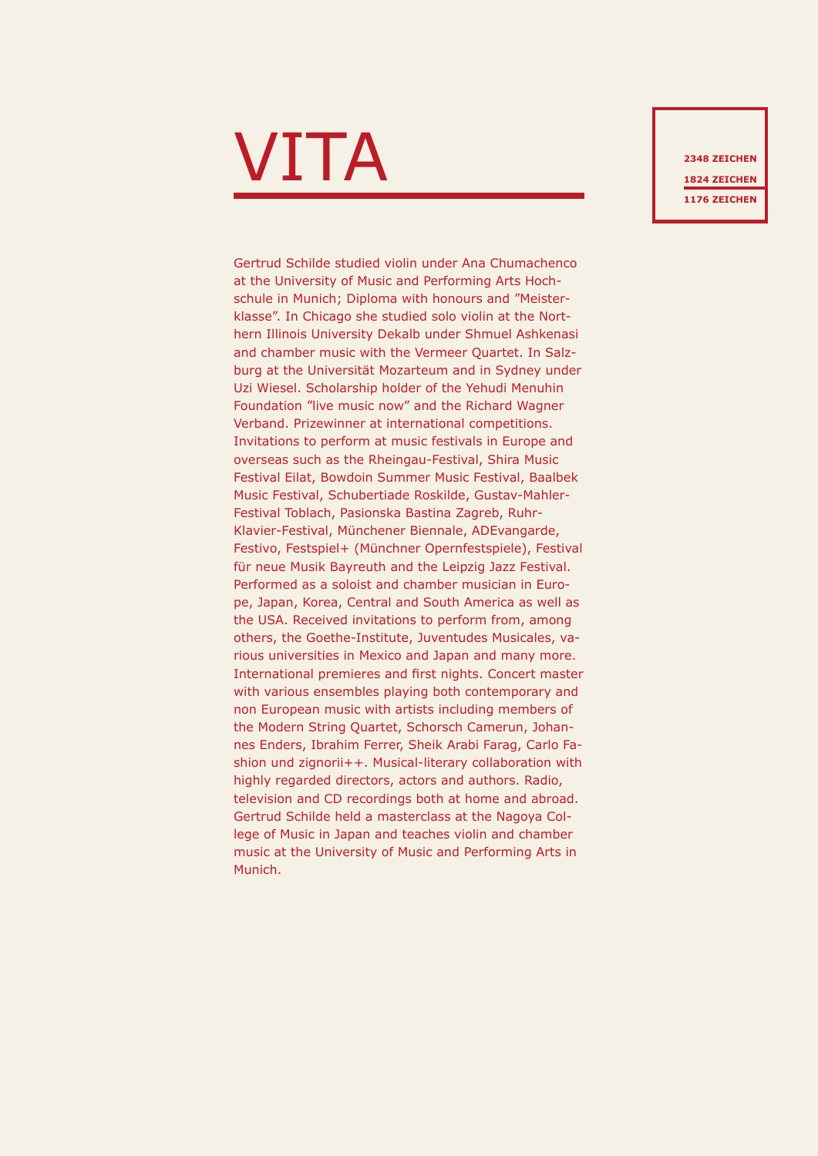## $\mathbf{V}\mathbf{I}\mathbf{T}$  and  $\mathbf{A}$  and  $\mathbf{A}$  and  $\mathbf{A}$  and  $\mathbf{A}$  and  $\mathbf{A}$  and  $\mathbf{A}$  and  $\mathbf{A}$  and  $\mathbf{A}$  and  $\mathbf{A}$  and  $\mathbf{A}$  and  $\mathbf{A}$  and  $\mathbf{A}$  and  $\mathbf{A}$  and  $\mathbf{A}$  and  $\mathbf{A}$  and  $\mathbf$

Gertrud Schilde studied violin under Ana Chumachenco at the University of Music and Performing Arts Hochschule in Munich; Diploma with honours and "Meisterklasse". In Chicago she studied solo violin at the Northern Illinois University Dekalb under Shmuel Ashkenasi and chamber music with the Vermeer Quartet. In Salzburg at the Universität Mozarteum and in Sydney under Uzi Wiesel. Scholarship holder of the Yehudi Menuhin Foundation "live music now" and the Richard Wagner Verband. Prizewinner at international competitions. Invitations to perform at music festivals in Europe and overseas such as the Rheingau-Festival, Shira Music Festival Eilat, Bowdoin Summer Music Festival, Baalbek Music Festival, Schubertiade Roskilde, Gustav-Mahler-Festival Toblach, Pasionska Bastina Zagreb, Ruhr-Klavier-Festival, Münchener Biennale, ADEvangarde, Festivo, Festspiel+ (Münchner Opernfestspiele), Festival für neue Musik Bayreuth and the Leipzig Jazz Festival. Performed as a soloist and chamber musician in Europe, Japan, Korea, Central and South America as well as the USA. Received invitations to perform from, among others, the Goethe-Institute, Juventudes Musicales, various universities in Mexico and Japan and many more. International premieres and first nights. Concert master with various ensembles playing both contemporary and non European music with artists including members of the Modern String Quartet, Schorsch Camerun, Johannes Enders, Ibrahim Ferrer, Sheik Arabi Farag, Carlo Fashion und zignorii++. Musical-literary collaboration with highly regarded directors, actors and authors. Radio, television and CD recordings both at home and abroad. Gertrud Schilde held a masterclass at the Nagoya College of Music in Japan and teaches violin and chamber music at the University of Music and Performing Arts in Munich.

**1824 ZEICHEN 1176 ZEICHEN**